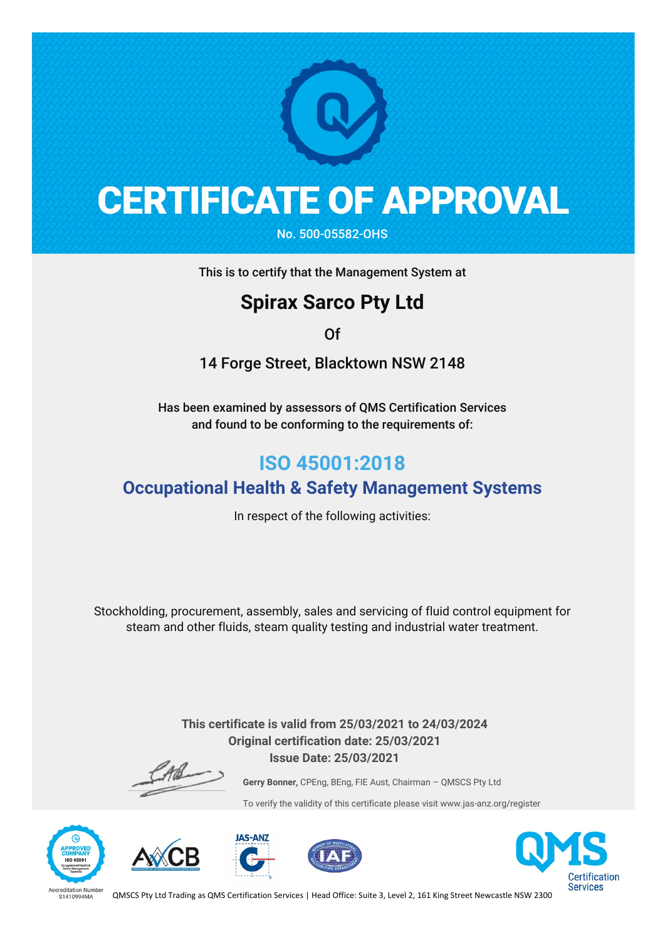

## **CERTIFICATE OF APPROVAL**

No. 500-05582-OHS

This is to certify that the Management System at

### **Spirax Sarco Pty Ltd**

Of

14 Forge Street, Blacktown NSW 2148

Has been examined by assessors of QMS Certification Services and found to be conforming to the requirements of:

### **ISO 45001:2018**

#### **Occupational Health & Safety Management Systems**

In respect of the following activities:

Stockholding, procurement, assembly, sales and servicing of fluid control equipment for steam and other fluids, steam quality testing and industrial water treatment.

> **This certificate is valid from 25/03/2021 to 24/03/2024 Original certification date: 25/03/2021 Issue Date: 25/03/2021**

**Gerry Bonner,** CPEng, BEng, FIE Aust, Chairman – QMSCS Pty Ltd

To verify the validity of this certificate please visit www.jas-anz.org/register











QMSCS Pty Ltd Trading as QMS Certification Services | Head Office: Suite 3, Level 2, 161 King Street Newcastle NSW 2300